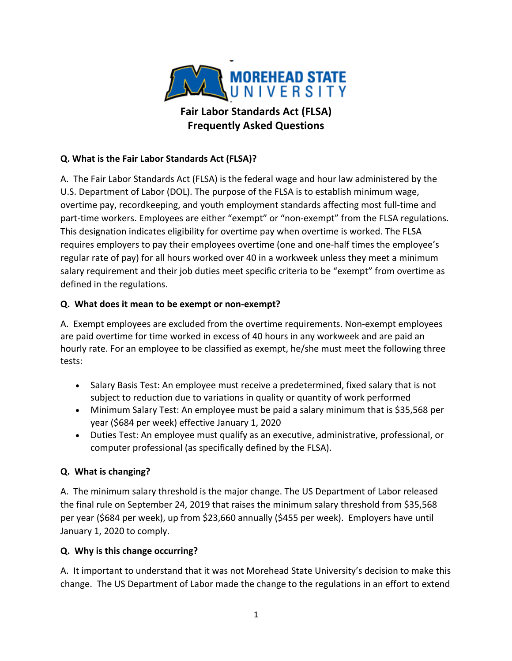

# **Q. What is the Fair Labor Standards Act (FLSA)?**

A. The Fair Labor Standards Act (FLSA) is the federal wage and hour law administered by the U.S. Department of Labor (DOL). The purpose of the FLSA is to establish minimum wage, overtime pay, recordkeeping, and youth employment standards affecting most full-time and part-time workers. Employees are either "exempt" or "non-exempt" from the FLSA regulations. This designation indicates eligibility for overtime pay when overtime is worked. The FLSA requires employers to pay their employees overtime (one and one-half times the employee's regular rate of pay) for all hours worked over 40 in a workweek unless they meet a minimum salary requirement and their job duties meet specific criteria to be "exempt" from overtime as defined in the regulations.

### **Q. What does it mean to be exempt or non-exempt?**

A. Exempt employees are excluded from the overtime requirements. Non-exempt employees are paid overtime for time worked in excess of 40 hours in any workweek and are paid an hourly rate. For an employee to be classified as exempt, he/she must meet the following three tests:

- Salary Basis Test: An employee must receive a predetermined, fixed salary that is not subject to reduction due to variations in quality or quantity of work performed
- Minimum Salary Test: An employee must be paid a salary minimum that is \$35,568 per year (\$684 per week) effective January 1, 2020
- Duties Test: An employee must qualify as an executive, administrative, professional, or computer professional (as specifically defined by the FLSA).

## **Q. What is changing?**

A. The minimum salary threshold is the major change. The US Department of Labor released the final rule on September 24, 2019 that raises the minimum salary threshold from \$35,568 per year (\$684 per week), up from \$23,660 annually (\$455 per week). Employers have until January 1, 2020 to comply.

## **Q. Why is this change occurring?**

A. It important to understand that it was not Morehead State University's decision to make this change. The US Department of Labor made the change to the regulations in an effort to extend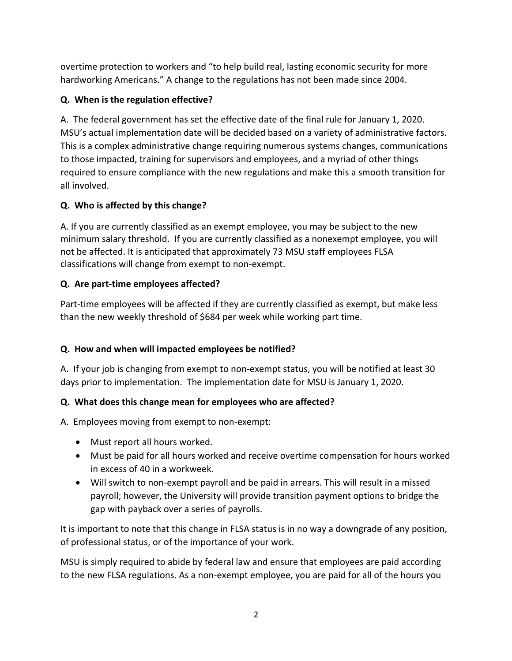overtime protection to workers and "to help build real, lasting economic security for more hardworking Americans." A change to the regulations has not been made since 2004.

### **Q. When is the regulation effective?**

A. The federal government has set the effective date of the final rule for January 1, 2020. MSU's actual implementation date will be decided based on a variety of administrative factors. This is a complex administrative change requiring numerous systems changes, communications to those impacted, training for supervisors and employees, and a myriad of other things required to ensure compliance with the new regulations and make this a smooth transition for all involved.

## **Q. Who is affected by this change?**

A. If you are currently classified as an exempt employee, you may be subject to the new minimum salary threshold. If you are currently classified as a nonexempt employee, you will not be affected. It is anticipated that approximately 73 MSU staff employees FLSA classifications will change from exempt to non-exempt.

### **Q. Are part-time employees affected?**

Part-time employees will be affected if they are currently classified as exempt, but make less than the new weekly threshold of \$684 per week while working part time.

## **Q. How and when will impacted employees be notified?**

A. If your job is changing from exempt to non-exempt status, you will be notified at least 30 days prior to implementation. The implementation date for MSU is January 1, 2020.

## **Q. What does this change mean for employees who are affected?**

A. Employees moving from exempt to non-exempt:

- Must report all hours worked.
- Must be paid for all hours worked and receive overtime compensation for hours worked in excess of 40 in a workweek.
- Will switch to non-exempt payroll and be paid in arrears. This will result in a missed payroll; however, the University will provide transition payment options to bridge the gap with payback over a series of payrolls.

It is important to note that this change in FLSA status is in no way a downgrade of any position, of professional status, or of the importance of your work.

MSU is simply required to abide by federal law and ensure that employees are paid according to the new FLSA regulations. As a non-exempt employee, you are paid for all of the hours you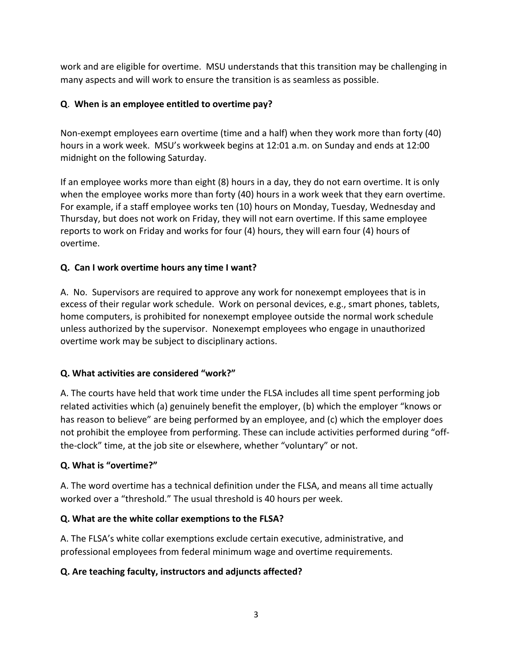work and are eligible for overtime. MSU understands that this transition may be challenging in many aspects and will work to ensure the transition is as seamless as possible.

### **Q**. **When is an employee entitled to overtime pay?**

Non-exempt employees earn overtime (time and a half) when they work more than forty (40) hours in a work week. MSU's workweek begins at 12:01 a.m. on Sunday and ends at 12:00 midnight on the following Saturday.

If an employee works more than eight (8) hours in a day, they do not earn overtime. It is only when the employee works more than forty (40) hours in a work week that they earn overtime. For example, if a staff employee works ten (10) hours on Monday, Tuesday, Wednesday and Thursday, but does not work on Friday, they will not earn overtime. If this same employee reports to work on Friday and works for four (4) hours, they will earn four (4) hours of overtime.

### **Q. Can I work overtime hours any time I want?**

A. No. Supervisors are required to approve any work for nonexempt employees that is in excess of their regular work schedule. Work on personal devices, e.g., smart phones, tablets, home computers, is prohibited for nonexempt employee outside the normal work schedule unless authorized by the supervisor. Nonexempt employees who engage in unauthorized overtime work may be subject to disciplinary actions.

#### **Q. What activities are considered "work?"**

A. The courts have held that work time under the FLSA includes all time spent performing job related activities which (a) genuinely benefit the employer, (b) which the employer "knows or has reason to believe" are being performed by an employee, and (c) which the employer does not prohibit the employee from performing. These can include activities performed during "offthe-clock" time, at the job site or elsewhere, whether "voluntary" or not.

#### **Q. What is "overtime?"**

A. The word overtime has a technical definition under the FLSA, and means all time actually worked over a "threshold." The usual threshold is 40 hours per week.

#### **Q. What are the white collar exemptions to the FLSA?**

A. The FLSA's white collar exemptions exclude certain executive, administrative, and professional employees from federal minimum wage and overtime requirements.

## **Q. Are teaching faculty, instructors and adjuncts affected?**